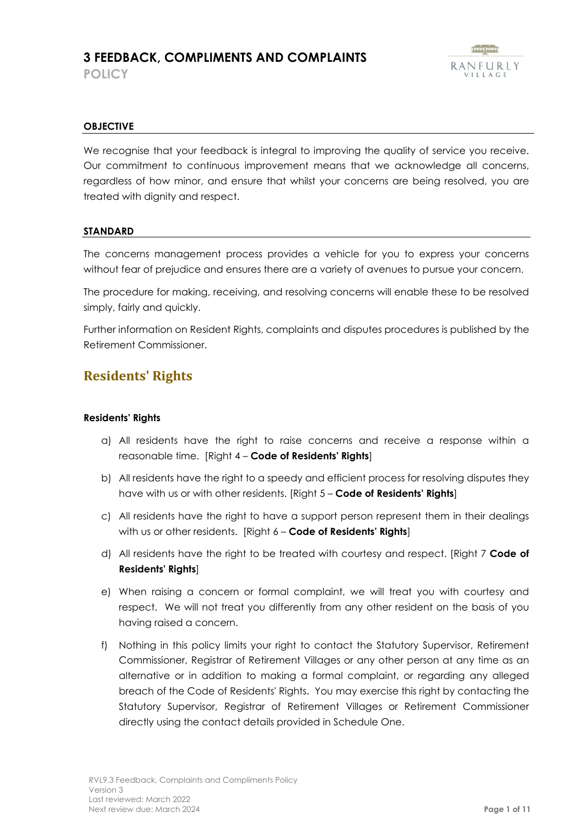**POLICY**



#### **OBJECTIVE**

We recognise that your feedback is integral to improving the quality of service you receive. Our commitment to continuous improvement means that we acknowledge all concerns, regardless of how minor, and ensure that whilst your concerns are being resolved, you are treated with dignity and respect.

#### **STANDARD**

The concerns management process provides a vehicle for you to express your concerns without fear of prejudice and ensures there are a variety of avenues to pursue your concern.

The procedure for making, receiving, and resolving concerns will enable these to be resolved simply, fairly and quickly.

Further information on Resident Rights, complaints and disputes procedures is published by the Retirement Commissioner.

# **Residents' Rights**

#### **Residents' Rights**

- a) All residents have the right to raise concerns and receive a response within a reasonable time. [Right 4 – **Code of Residents' Rights**]
- b) All residents have the right to a speedy and efficient process for resolving disputes they have with us or with other residents. [Right 5 – **Code of Residents' Rights**]
- c) All residents have the right to have a support person represent them in their dealings with us or other residents. [Right 6 – **Code of Residents' Rights**]
- d) All residents have the right to be treated with courtesy and respect. [Right 7 **Code of Residents' Rights**]
- e) When raising a concern or formal complaint, we will treat you with courtesy and respect. We will not treat you differently from any other resident on the basis of you having raised a concern.
- f) Nothing in this policy limits your right to contact the Statutory Supervisor, Retirement Commissioner, Registrar of Retirement Villages or any other person at any time as an alternative or in addition to making a formal complaint, or regarding any alleged breach of the Code of Residents' Rights. You may exercise this right by contacting the Statutory Supervisor, Registrar of Retirement Villages or Retirement Commissioner directly using the contact details provided in Schedule One.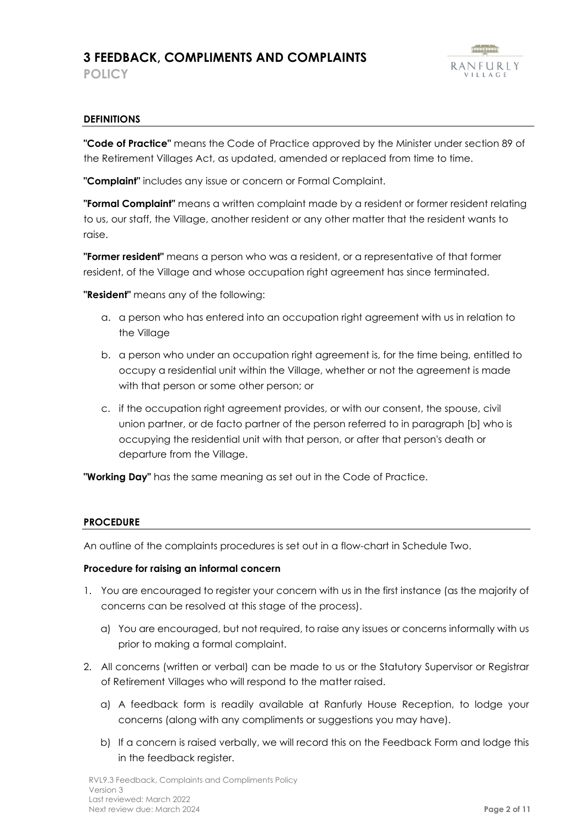**POLICY**



#### **DEFINITIONS**

**"Code of Practice"** means the Code of Practice approved by the Minister under section 89 of the Retirement Villages Act, as updated, amended or replaced from time to time.

**"Complaint"** includes any issue or concern or Formal Complaint.

**"Formal Complaint"** means a written complaint made by a resident or former resident relating to us, our staff, the Village, another resident or any other matter that the resident wants to raise.

**"Former resident"** means a person who was a resident, or a representative of that former resident, of the Village and whose occupation right agreement has since terminated.

**"Resident"** means any of the following:

- a. a person who has entered into an occupation right agreement with us in relation to the Village
- b. a person who under an occupation right agreement is, for the time being, entitled to occupy a residential unit within the Village, whether or not the agreement is made with that person or some other person; or
- c. if the occupation right agreement provides, or with our consent, the spouse, civil union partner, or de facto partner of the person referred to in paragraph [b] who is occupying the residential unit with that person, or after that person's death or departure from the Village.

**"Working Day"** has the same meaning as set out in the Code of Practice.

#### **PROCEDURE**

An outline of the complaints procedures is set out in a flow-chart in Schedule Two.

#### **Procedure for raising an informal concern**

- 1. You are encouraged to register your concern with us in the first instance (as the majority of concerns can be resolved at this stage of the process).
	- a) You are encouraged, but not required, to raise any issues or concerns informally with us prior to making a formal complaint.
- 2. All concerns (written or verbal) can be made to us or the Statutory Supervisor or Registrar of Retirement Villages who will respond to the matter raised.
	- a) A feedback form is readily available at Ranfurly House Reception, to lodge your concerns (along with any compliments or suggestions you may have).
	- b) If a concern is raised verbally, we will record this on the Feedback Form and lodge this in the feedback register.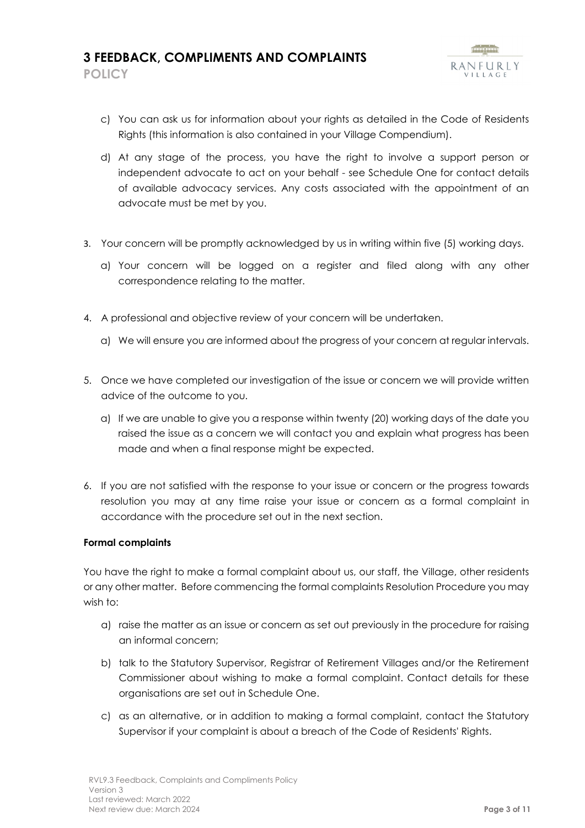- c) You can ask us for information about your rights as detailed in the Code of Residents Rights (this information is also contained in your Village Compendium).
- d) At any stage of the process, you have the right to involve a support person or independent advocate to act on your behalf - see Schedule One for contact details of available advocacy services. Any costs associated with the appointment of an advocate must be met by you.
- 3. Your concern will be promptly acknowledged by us in writing within five (5) working days.
	- a) Your concern will be logged on a register and filed along with any other correspondence relating to the matter.
- 4. A professional and objective review of your concern will be undertaken.
	- a) We will ensure you are informed about the progress of your concern at regular intervals.
- 5. Once we have completed our investigation of the issue or concern we will provide written advice of the outcome to you.
	- a) If we are unable to give you a response within twenty (20) working days of the date you raised the issue as a concern we will contact you and explain what progress has been made and when a final response might be expected.
- 6. If you are not satisfied with the response to your issue or concern or the progress towards resolution you may at any time raise your issue or concern as a formal complaint in accordance with the procedure set out in the next section.

#### **Formal complaints**

You have the right to make a formal complaint about us, our staff, the Village, other residents or any other matter. Before commencing the formal complaints Resolution Procedure you may wish to:

- a) raise the matter as an issue or concern as set out previously in the procedure for raising an informal concern;
- b) talk to the Statutory Supervisor, Registrar of Retirement Villages and/or the Retirement Commissioner about wishing to make a formal complaint. Contact details for these organisations are set out in Schedule One.
- c) as an alternative, or in addition to making a formal complaint, contact the Statutory Supervisor if your complaint is about a breach of the Code of Residents' Rights.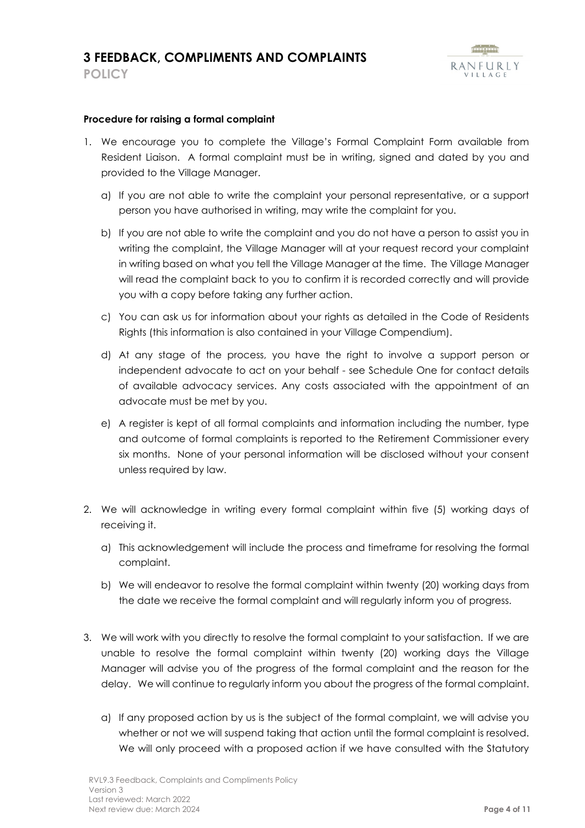**POLICY**



#### **Procedure for raising a formal complaint**

- 1. We encourage you to complete the Village's Formal Complaint Form available from Resident Liaison. A formal complaint must be in writing, signed and dated by you and provided to the Village Manager.
	- a) If you are not able to write the complaint your personal representative, or a support person you have authorised in writing, may write the complaint for you.
	- b) If you are not able to write the complaint and you do not have a person to assist you in writing the complaint, the Village Manager will at your request record your complaint in writing based on what you tell the Village Manager at the time. The Village Manager will read the complaint back to you to confirm it is recorded correctly and will provide you with a copy before taking any further action.
	- c) You can ask us for information about your rights as detailed in the Code of Residents Rights (this information is also contained in your Village Compendium).
	- d) At any stage of the process, you have the right to involve a support person or independent advocate to act on your behalf - see Schedule One for contact details of available advocacy services. Any costs associated with the appointment of an advocate must be met by you.
	- e) A register is kept of all formal complaints and information including the number, type and outcome of formal complaints is reported to the Retirement Commissioner every six months. None of your personal information will be disclosed without your consent unless required by law.
- 2. We will acknowledge in writing every formal complaint within five (5) working days of receiving it.
	- a) This acknowledgement will include the process and timeframe for resolving the formal complaint.
	- b) We will endeavor to resolve the formal complaint within twenty (20) working days from the date we receive the formal complaint and will regularly inform you of progress.
- 3. We will work with you directly to resolve the formal complaint to your satisfaction. If we are unable to resolve the formal complaint within twenty (20) working days the Village Manager will advise you of the progress of the formal complaint and the reason for the delay. We will continue to regularly inform you about the progress of the formal complaint.
	- a) If any proposed action by us is the subject of the formal complaint, we will advise you whether or not we will suspend taking that action until the formal complaint is resolved. We will only proceed with a proposed action if we have consulted with the Statutory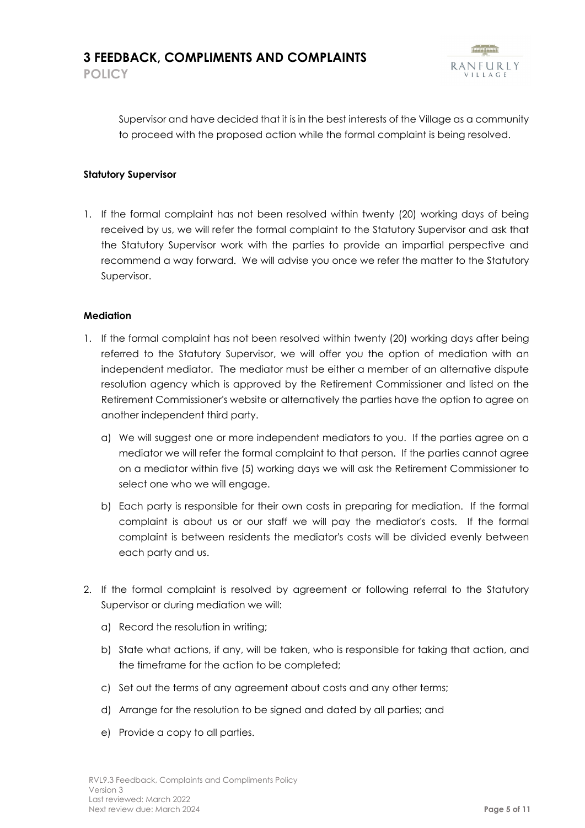**POLICY**



Supervisor and have decided that it is in the best interests of the Village as a community to proceed with the proposed action while the formal complaint is being resolved.

#### **Statutory Supervisor**

1. If the formal complaint has not been resolved within twenty (20) working days of being received by us, we will refer the formal complaint to the Statutory Supervisor and ask that the Statutory Supervisor work with the parties to provide an impartial perspective and recommend a way forward. We will advise you once we refer the matter to the Statutory Supervisor.

#### **Mediation**

- 1. If the formal complaint has not been resolved within twenty (20) working days after being referred to the Statutory Supervisor, we will offer you the option of mediation with an independent mediator. The mediator must be either a member of an alternative dispute resolution agency which is approved by the Retirement Commissioner and listed on the Retirement Commissioner's website or alternatively the parties have the option to agree on another independent third party.
	- a) We will suggest one or more independent mediators to you. If the parties agree on a mediator we will refer the formal complaint to that person. If the parties cannot agree on a mediator within five (5) working days we will ask the Retirement Commissioner to select one who we will engage.
	- b) Each party is responsible for their own costs in preparing for mediation. If the formal complaint is about us or our staff we will pay the mediator's costs. If the formal complaint is between residents the mediator's costs will be divided evenly between each party and us.
- 2. If the formal complaint is resolved by agreement or following referral to the Statutory Supervisor or during mediation we will:
	- a) Record the resolution in writing;
	- b) State what actions, if any, will be taken, who is responsible for taking that action, and the timeframe for the action to be completed;
	- c) Set out the terms of any agreement about costs and any other terms;
	- d) Arrange for the resolution to be signed and dated by all parties; and
	- e) Provide a copy to all parties.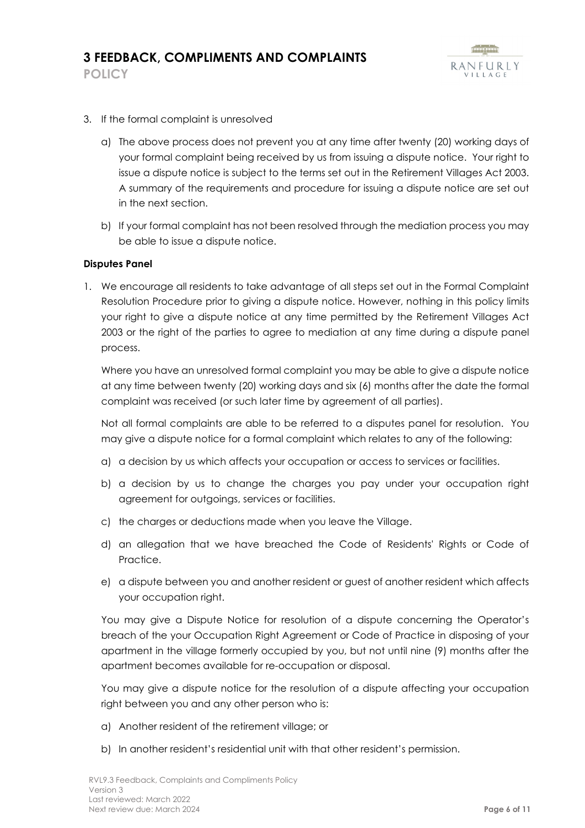- 3. If the formal complaint is unresolved
	- a) The above process does not prevent you at any time after twenty (20) working days of your formal complaint being received by us from issuing a dispute notice. Your right to issue a dispute notice is subject to the terms set out in the Retirement Villages Act 2003. A summary of the requirements and procedure for issuing a dispute notice are set out in the next section.
	- b) If your formal complaint has not been resolved through the mediation process you may be able to issue a dispute notice.

#### **Disputes Panel**

1. We encourage all residents to take advantage of all steps set out in the Formal Complaint Resolution Procedure prior to giving a dispute notice. However, nothing in this policy limits your right to give a dispute notice at any time permitted by the Retirement Villages Act 2003 or the right of the parties to agree to mediation at any time during a dispute panel process.

Where you have an unresolved formal complaint you may be able to give a dispute notice at any time between twenty (20) working days and six (6) months after the date the formal complaint was received (or such later time by agreement of all parties).

Not all formal complaints are able to be referred to a disputes panel for resolution. You may give a dispute notice for a formal complaint which relates to any of the following:

- a) a decision by us which affects your occupation or access to services or facilities.
- b) a decision by us to change the charges you pay under your occupation right agreement for outgoings, services or facilities.
- c) the charges or deductions made when you leave the Village.
- d) an allegation that we have breached the Code of Residents' Rights or Code of Practice.
- e) a dispute between you and another resident or guest of another resident which affects your occupation right.

You may give a Dispute Notice for resolution of a dispute concerning the Operator's breach of the your Occupation Right Agreement or Code of Practice in disposing of your apartment in the village formerly occupied by you, but not until nine (9) months after the apartment becomes available for re-occupation or disposal.

You may give a dispute notice for the resolution of a dispute affecting your occupation right between you and any other person who is:

- a) Another resident of the retirement village; or
- b) In another resident's residential unit with that other resident's permission.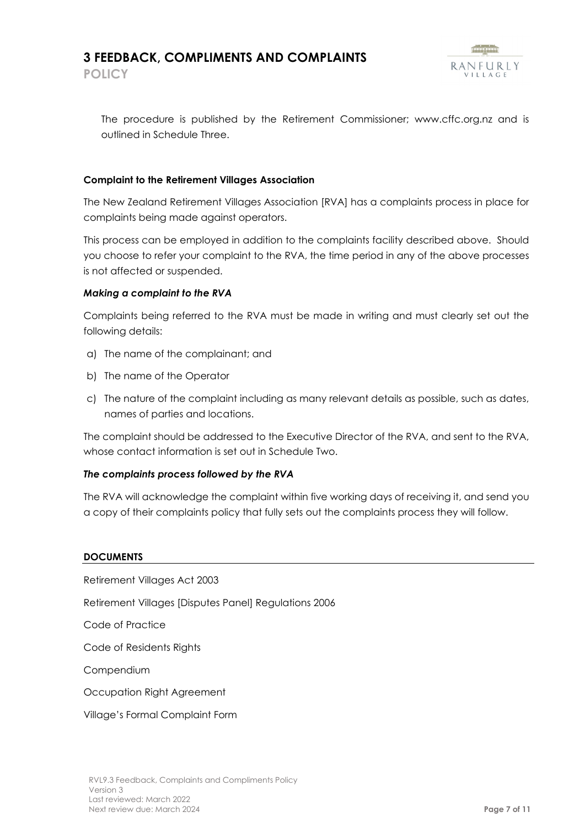**POLICY**



The procedure is published by the Retirement Commissioner; www.cffc.org.nz and is outlined in Schedule Three.

#### **Complaint to the Retirement Villages Association**

The New Zealand Retirement Villages Association [RVA] has a complaints process in place for complaints being made against operators.

This process can be employed in addition to the complaints facility described above. Should you choose to refer your complaint to the RVA, the time period in any of the above processes is not affected or suspended.

#### *Making a complaint to the RVA*

Complaints being referred to the RVA must be made in writing and must clearly set out the following details:

- a) The name of the complainant; and
- b) The name of the Operator
- c) The nature of the complaint including as many relevant details as possible, such as dates, names of parties and locations.

The complaint should be addressed to the Executive Director of the RVA, and sent to the RVA, whose contact information is set out in Schedule Two.

#### *The complaints process followed by the RVA*

The RVA will acknowledge the complaint within five working days of receiving it, and send you a copy of their complaints policy that fully sets out the complaints process they will follow.

#### **DOCUMENTS**

Retirement Villages Act 2003 Retirement Villages [Disputes Panel] Regulations 2006 Code of Practice Code of Residents Rights Compendium Occupation Right Agreement Village's Formal Complaint Form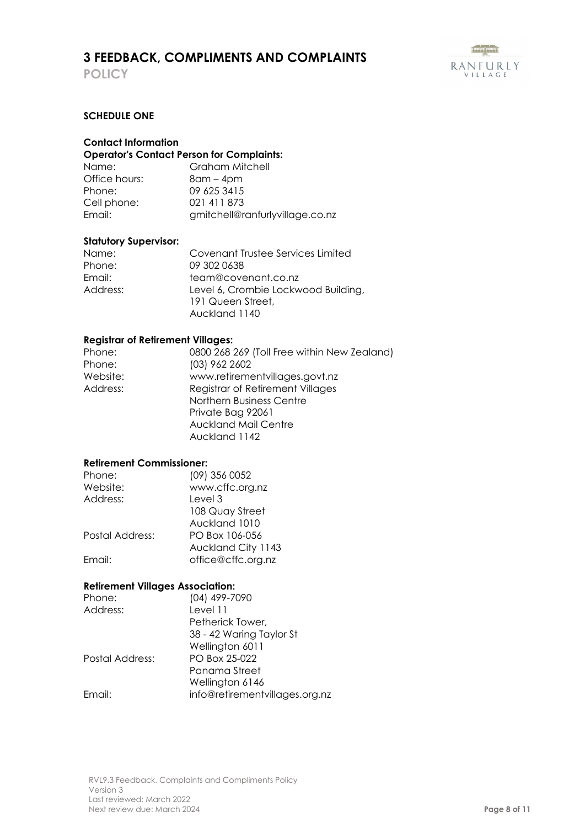**POLICY**



#### **SCHEDULE ONE**

#### **Contact Information**

#### **Operator's Contact Person for Complaints:**

| Name:         | Graham Mitchell                 |
|---------------|---------------------------------|
| Office hours: | $8$ am – 4 $pm$                 |
| Phone:        | 09 625 3415                     |
| Cell phone:   | 021 411 873                     |
| Email:        | gmitchell@ranfurlyvillage.co.nz |

#### **Statutory Supervisor:**

| Name:    | Covenant Trustee Services Limited   |
|----------|-------------------------------------|
| Phone:   | 09 302 0638                         |
| Email:   | team@covenant.co.nz                 |
| Address: | Level 6, Crombie Lockwood Building, |
|          | 191 Queen Street,                   |
|          | Auckland 1140                       |

#### **Registrar of Retirement Villages:**

Phone: 0800 268 269 (Toll Free within New Zealand) Phone: (03) 962 2602 Website: www.retirementvillages.govt.nz Address: Registrar of Retirement Villages Northern Business Centre Private Bag 92061 Auckland Mail Centre Auckland 1142

#### **Retirement Commissioner:**

| Phone:          | (09) 356 0052      |
|-----------------|--------------------|
| Website:        | www.cffc.org.nz    |
| Address:        | Level 3            |
|                 | 108 Quay Street    |
|                 | Auckland 1010      |
| Postal Address: | PO Box 106-056     |
|                 | Auckland City 1143 |
| Email:          | office@cffc.org.nz |

#### **Retirement Villages Association:**

| Phone:          | (04) 499-7090                  |
|-----------------|--------------------------------|
| Address:        | Level 11                       |
|                 | Petherick Tower,               |
|                 | 38 - 42 Waring Taylor St       |
|                 | Wellington 6011                |
| Postal Address: | PO Box 25-022                  |
|                 | Panama Street                  |
|                 | Wellington 6146                |
| Email:          | info@retirementvillages.org.nz |
|                 |                                |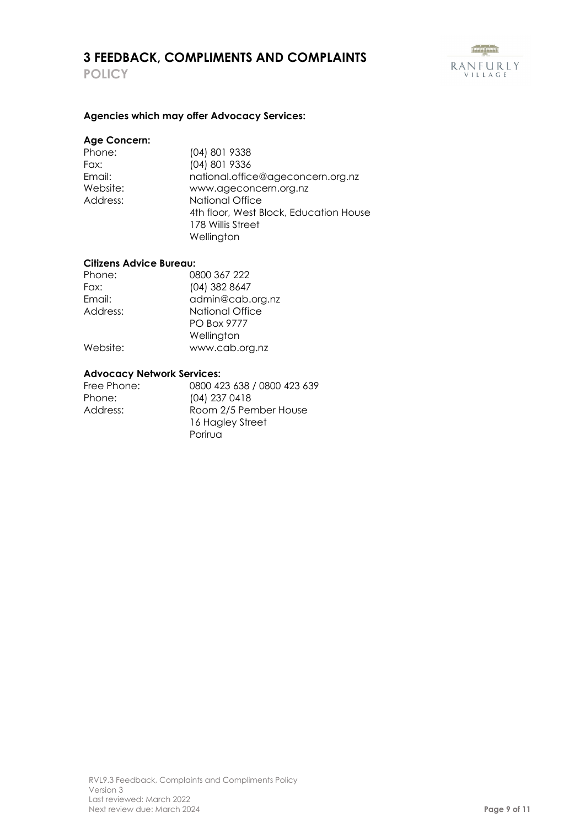**POLICY**



#### **Agencies which may offer Advocacy Services:**

#### **Age Concern:**

| Phone:   | (04) 801 9338                          |
|----------|----------------------------------------|
| Fax:     | (04) 801 9336                          |
| Email:   | national.office@ageconcern.org.nz      |
| Website: | www.ageconcern.org.nz                  |
| Address: | National Office                        |
|          | 4th floor, West Block, Education House |
|          | 178 Willis Street                      |
|          | Wellington                             |
|          |                                        |

#### **Citizens Advice Bureau:**

| Phone:   | 0800 367 222       |
|----------|--------------------|
| Fax:     | (04) 382 8647      |
| Email:   | admin@cab.org.nz   |
| Address: | National Office    |
|          | <b>PO Box 9777</b> |
|          | Wellington         |
| Website: | www.cab.org.nz     |

#### **Advocacy Network Services:**

| Free Phone: | 0800 423 638 / 0800 423 639 |
|-------------|-----------------------------|
| Phone:      | $(04)$ 237 0418             |
| Address:    | Room 2/5 Pember House       |
|             | 16 Hagley Street            |
|             | Porirua                     |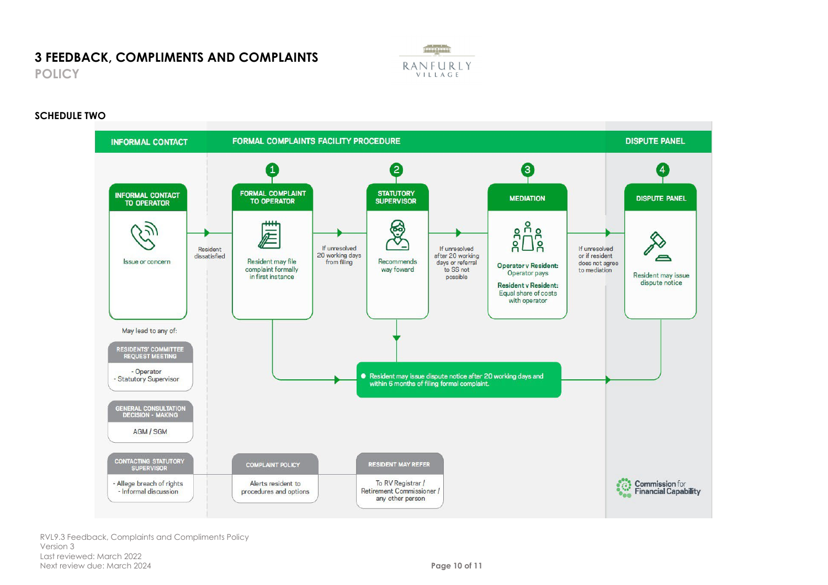

#### **SCHEDULE TWO**